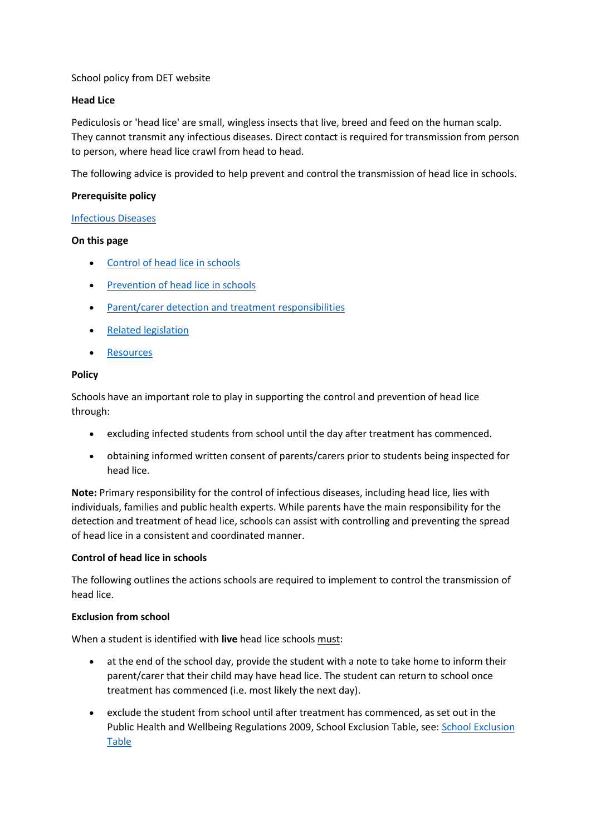# School policy from DET website

# **Head Lice**

Pediculosis or 'head lice' are small, wingless insects that live, breed and feed on the human scalp. They cannot transmit any infectious diseases. Direct contact is required for transmission from person to person, where head lice crawl from head to head.

The following advice is provided to help prevent and control the transmission of head lice in schools.

# **Prerequisite policy**

#### [Infectious Diseases](https://www.education.vic.gov.au/school/principals/spag/health/Pages/infectiousdiseases.aspx)

# **On this page**

- [Control of head lice in schools](https://www.education.vic.gov.au/school/principals/spag/health/pages/headlice.aspx#link28)
- [Prevention of head lice in schools](https://www.education.vic.gov.au/school/principals/spag/health/pages/headlice.aspx#link40)
- [Parent/carer detection and treatment responsibilities](https://www.education.vic.gov.au/school/principals/spag/health/pages/headlice.aspx#link67)
- [Related legislation](https://www.education.vic.gov.au/school/principals/spag/health/pages/headlice.aspx#link46)
- [Resources](https://www.education.vic.gov.au/school/principals/spag/health/pages/headlice.aspx#link86)

# **Policy**

Schools have an important role to play in supporting the control and prevention of head lice through:

- excluding infected students from school until the day after treatment has commenced.
- obtaining informed written consent of parents/carers prior to students being inspected for head lice.

**Note:** Primary responsibility for the control of infectious diseases, including head lice, lies with individuals, families and public health experts. While parents have the main responsibility for the detection and treatment of head lice, schools can assist with controlling and preventing the spread of head lice in a consistent and coordinated manner.

#### **Control of head lice in schools**

The following outlines the actions schools are required to implement to control the transmission of head lice.

#### **Exclusion from school**

When a student is identified with **live** head lice schools must:

- at the end of the school day, provide the student with a note to take home to inform their parent/carer that their child may have head lice. The student can return to school once treatment has commenced (i.e. most likely the next day).
- exclude the student from school until after treatment has commenced, as set out in the Public Health and Wellbeing Regulations 2009, School Exclusion Table, see: [School Exclusion](https://www2.health.vic.gov.au/public-health/infectious-diseases/school-exclusion/exclusion-periods-role-of-schools-and-child-care-services)  [Table](https://www2.health.vic.gov.au/public-health/infectious-diseases/school-exclusion/exclusion-periods-role-of-schools-and-child-care-services)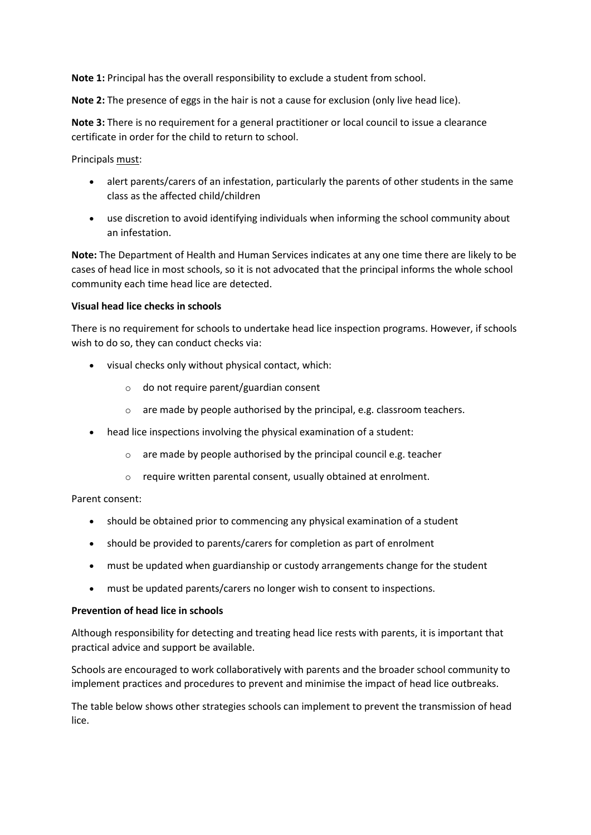**Note 1:** Principal has the overall responsibility to exclude a student from school.

**Note 2:** The presence of eggs in the hair is not a cause for exclusion (only live head lice).

**Note 3:** There is no requirement for a general practitioner or local council to issue a clearance certificate in order for the child to return to school.

Principals must:

- alert parents/carers of an infestation, particularly the parents of other students in the same class as the affected child/children
- use discretion to avoid identifying individuals when informing the school community about an infestation.

**Note:** The Department of Health and Human Services indicates at any one time there are likely to be cases of head lice in most schools, so it is not advocated that the principal informs the whole school community each time head lice are detected.

# **Visual head lice checks in schools**

There is no requirement for schools to undertake head lice inspection programs. However, if schools wish to do so, they can conduct checks via:

- visual checks only without physical contact, which:
	- o do not require parent/guardian consent
	- o are made by people authorised by the principal, e.g. classroom teachers.
- head lice inspections involving the physical examination of a student:
	- o are made by people authorised by the principal council e.g. teacher
	- o require written parental consent, usually obtained at enrolment.

Parent consent:

- should be obtained prior to commencing any physical examination of a student
- should be provided to parents/carers for completion as part of enrolment
- must be updated when guardianship or custody arrangements change for the student
- must be updated parents/carers no longer wish to consent to inspections.

#### **Prevention of head lice in schools**

Although responsibility for detecting and treating head lice rests with parents, it is important that practical advice and support be available.

Schools are encouraged to work collaboratively with parents and the broader school community to implement practices and procedures to prevent and minimise the impact of head lice outbreaks.

The table below shows other strategies schools can implement to prevent the transmission of head lice.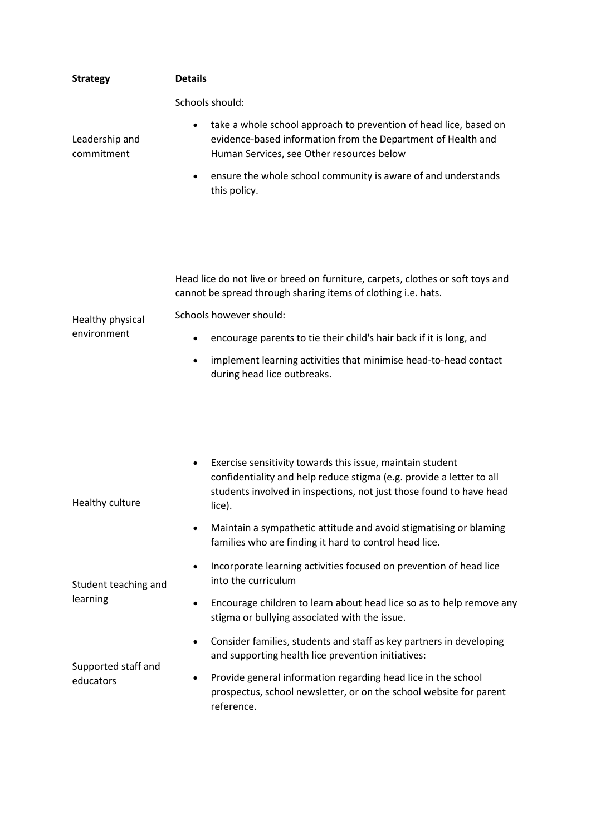| <b>Strategy</b>                  | <b>Details</b>                                                                                                                                                                                                                  |
|----------------------------------|---------------------------------------------------------------------------------------------------------------------------------------------------------------------------------------------------------------------------------|
|                                  | Schools should:                                                                                                                                                                                                                 |
| Leadership and<br>commitment     | take a whole school approach to prevention of head lice, based on<br>$\bullet$<br>evidence-based information from the Department of Health and<br>Human Services, see Other resources below                                     |
|                                  | ensure the whole school community is aware of and understands<br>$\bullet$<br>this policy.                                                                                                                                      |
|                                  |                                                                                                                                                                                                                                 |
| Healthy physical<br>environment  | Head lice do not live or breed on furniture, carpets, clothes or soft toys and<br>cannot be spread through sharing items of clothing i.e. hats.                                                                                 |
|                                  | Schools however should:                                                                                                                                                                                                         |
|                                  | encourage parents to tie their child's hair back if it is long, and                                                                                                                                                             |
|                                  | implement learning activities that minimise head-to-head contact<br>$\bullet$<br>during head lice outbreaks.                                                                                                                    |
|                                  |                                                                                                                                                                                                                                 |
| Healthy culture                  | Exercise sensitivity towards this issue, maintain student<br>$\bullet$<br>confidentiality and help reduce stigma (e.g. provide a letter to all<br>students involved in inspections, not just those found to have head<br>lice). |
|                                  | Maintain a sympathetic attitude and avoid stigmatising or blaming<br>families who are finding it hard to control head lice.                                                                                                     |
| Student teaching and<br>learning | Incorporate learning activities focused on prevention of head lice<br>٠<br>into the curriculum                                                                                                                                  |
|                                  | Encourage children to learn about head lice so as to help remove any<br>stigma or bullying associated with the issue.                                                                                                           |
| Supported staff and<br>educators | Consider families, students and staff as key partners in developing<br>and supporting health lice prevention initiatives:                                                                                                       |
|                                  | Provide general information regarding head lice in the school<br>prospectus, school newsletter, or on the school website for parent<br>reference.                                                                               |